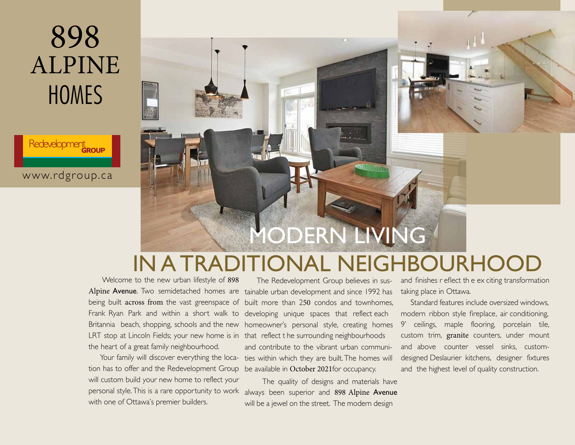Redevelopment





### IN A TRADITIONAL NEIGHBOURHOO

 Welcome to the new urban lifestyle of 898 Alpine Avenue. Two semidetached homes are tainable urban development and since 1992 has being built across from the vast greenspace of built more than 250 condos and townhomes, Frank Ryan Park and within a short walk to developing unique spaces that reflect each Britannia beach, shopping, schools and the new homeowner's personal style, creating homes LRT stop at Lincoln Fields; your new home is in that reflect t he surrounding neighbourhoods the heart of a great family neighbourhood.

 Your family will discover everything the location has to offer and the Redevelopment Group be available in October 2021for occupancy. will custom build your new home to reflect your personal style. This is a rare opportunity to work with one of Ottawa's premier builders.

The Redevelopment Group believes in susand contribute to the vibrant urban communities within which they are built. The homes will

 The quality of designs and materials have always been superior and 898 Alpine Avenue will be a jewel on the street. The modern design

and finishes r eflect th e ex citing transformation taking place in Ottawa.

 Standard features include oversized windows, modern ribbon style fireplace, air conditioning, 9' ceilings, maple flooring, porcelain tile, custom trim, granite counters, under mount and above counter vessel sinks, customdesigned Deslaurier kitchens, designer fixtures and the highest level of quality construction.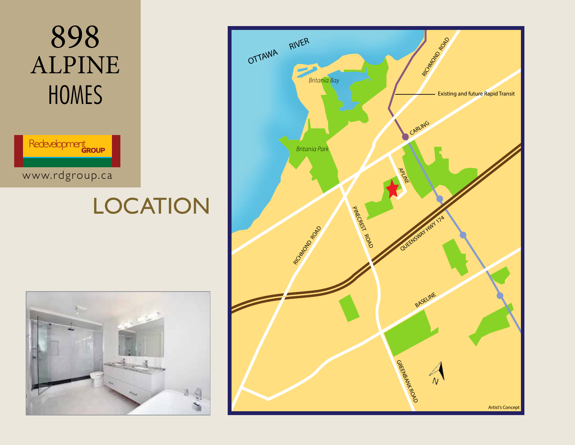

## **LOCATION**



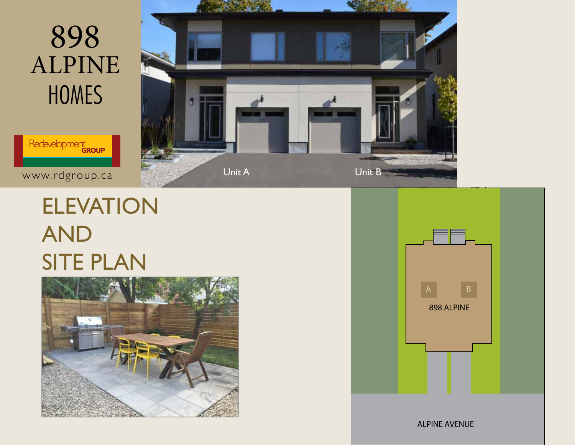

www.rdgroup.ca

## ELEVATION AND SITE PLAN







ALPINE AVENUE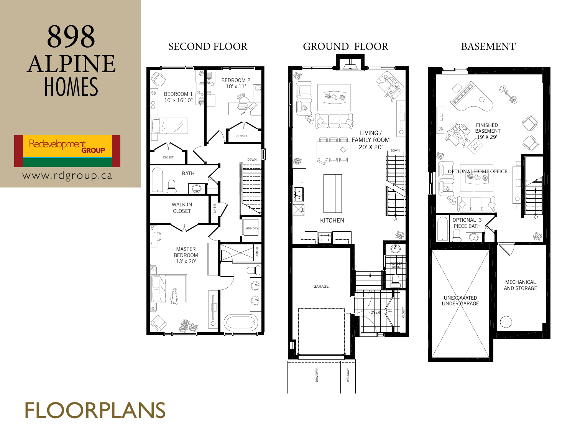

DRIVEWAY

DRIVEWAY

WALKWAY

WALKWAY

### FLOORPLANS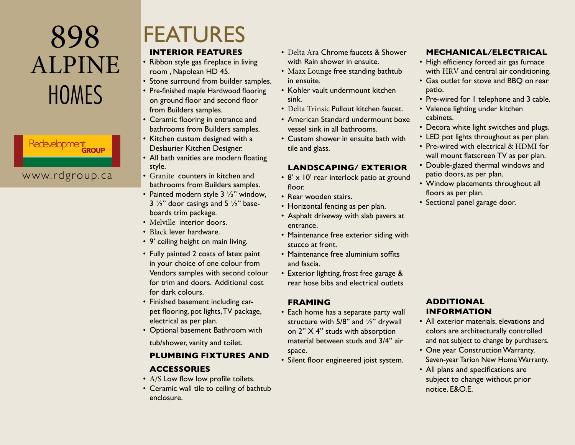# Redevelopment

www.rdgroup.ca

### FEATURES

#### **INTERIOR FEATURES**

- Ribbon style gas fireplace in living room , Napolean HD 45.
- Stone surround from builder samples.
- Pre-finished maple Hardwood flooring on ground floor and second floor from Builders samples.
- Ceramic flooring in entrance and bathrooms from Builders samples.
- Kitchen custom designed with a Deslaurier Kitchen Designer.
- All bath vanities are modern floating style.
- Granite counters in kitchen and bathrooms from Builders samples.
- Painted modern style  $3\frac{1}{2}$ " window,  $3\frac{1}{2}$ " door casings and  $5\frac{1}{2}$ " baseboards trim package.
- Melville interior doors.
- Black lever hardware.
- 9' ceiling height on main living.
- Fully painted 2 coats of latex paint in your choice of one colour from Vendors samples with second colour for trim and doors. Additional cost for dark colours.
- Finished basement including carpet flooring, pot lights,TV package, electrical as per plan.
- Optional basement Bathroom with

tub/shower, vanity and toilet.

#### **PLUMBING FIXTURES AND ACCESSORIES**

- $A/S$  Low flow low profile toilets.
- Ceramic wall tile to ceiling of bathtub enclosure.
- Delta Ara Chrome faucets & Shower with Rain shower in ensuite.
- Maax Lounge free standing bathtub in ensuite.
- Kohler vault undermount kitchen sink.
- Delta Trinsic Pullout kitchen faucet.
- American Standard undermount boxe vessel sink in all bathrooms.
- Custom shower in ensuite bath with tile and glass.

### **LANDSCAPING/ EXTERIOR**

- 8' x 10' rear interlock patio at ground floor.
- Rear wooden stairs.
- Horizontal fencing as per plan.
- Asphalt driveway with slab pavers at entrance.
- Maintenance free exterior siding with stucco at front.
- Maintenance free aluminium soffits and fascia.
- Exterior lighting, frost free garage & rear hose bibs and electrical outlets

#### **FRAMING**

- Each home has a separate party wall structure with  $5/8$ " and  $\frac{1}{2}$ " drywall on 2" X 4" studs with absorption material between studs and 3/4" air space.
- Silent floor engineered joist system.

### **MECHANICAL/ELECTRICAL**

- High efficiency forced air gas furnace with HRV and central air conditioning.
- Gas outlet for stove and BBQ on rear patio.
- Pre-wired for I telephone and 3 cable.
- Valence lighting under kitchen cabinets.
- Decora white light switches and plugs.
- LED pot lights throughout as per plan.
- Pre-wired with electrical & HDMI for wall mount flatscreen TV as per plan.
- Double-glazed thermal windows and patio doors, as per plan.
- Window placements throughout all floors as per plan.
- Sectional panel garage door.

#### **ADDITIONAL INFORMATION**

- All exterior materials, elevations and colors are architecturally controlled and not subject to change by purchasers.
- One year Construction Warranty. Seven-year Tarion New Home Warranty.
- All plans and specifications are subject to change without prior notice. E&O.E.